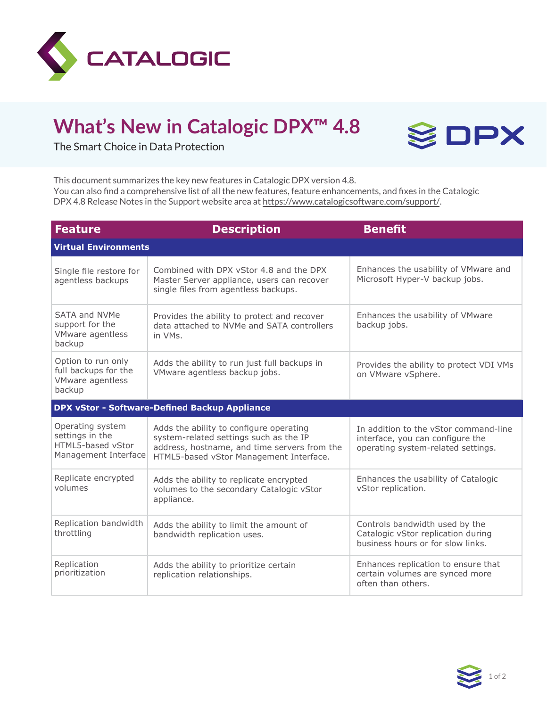

## **What's New in Catalogic DPX™ 4.8**



The Smart Choice in Data Protection

This document summarizes the key new features in Catalogic DPX version 4.8. You can also find a comprehensive list of all the new features, feature enhancements, and fixes in the Catalogic DPX 4.8 Release Notes in the Support website area at https://www.catalogicsoftware.com/support/.

| <b>Feature</b>                                                                   | <b>Description</b>                                                                                                                                                           | <b>Benefit</b>                                                                                                  |  |
|----------------------------------------------------------------------------------|------------------------------------------------------------------------------------------------------------------------------------------------------------------------------|-----------------------------------------------------------------------------------------------------------------|--|
| <b>Virtual Environments</b>                                                      |                                                                                                                                                                              |                                                                                                                 |  |
| Single file restore for<br>agentless backups                                     | Combined with DPX vStor 4.8 and the DPX<br>Master Server appliance, users can recover<br>single files from agentless backups.                                                | Enhances the usability of VMware and<br>Microsoft Hyper-V backup jobs.                                          |  |
| SATA and NVMe<br>support for the<br>VMware agentless<br>backup                   | Provides the ability to protect and recover<br>data attached to NVMe and SATA controllers<br>in VMs.                                                                         | Enhances the usability of VMware<br>backup jobs.                                                                |  |
| Option to run only<br>full backups for the<br>VMware agentless<br>backup         | Adds the ability to run just full backups in<br>VMware agentless backup jobs.                                                                                                | Provides the ability to protect VDI VMs<br>on VMware vSphere.                                                   |  |
| <b>DPX vStor - Software-Defined Backup Appliance</b>                             |                                                                                                                                                                              |                                                                                                                 |  |
| Operating system<br>settings in the<br>HTML5-based vStor<br>Management Interface | Adds the ability to configure operating<br>system-related settings such as the IP<br>address, hostname, and time servers from the<br>HTML5-based vStor Management Interface. | In addition to the vStor command-line<br>interface, you can configure the<br>operating system-related settings. |  |
| Replicate encrypted<br>volumes                                                   | Adds the ability to replicate encrypted<br>volumes to the secondary Catalogic vStor<br>appliance.                                                                            | Enhances the usability of Catalogic<br>vStor replication.                                                       |  |
| Replication bandwidth<br>throttling                                              | Adds the ability to limit the amount of<br>bandwidth replication uses.                                                                                                       | Controls bandwidth used by the<br>Catalogic vStor replication during<br>business hours or for slow links.       |  |
| Replication<br>prioritization                                                    | Adds the ability to prioritize certain<br>replication relationships.                                                                                                         | Enhances replication to ensure that<br>certain volumes are synced more<br>often than others.                    |  |